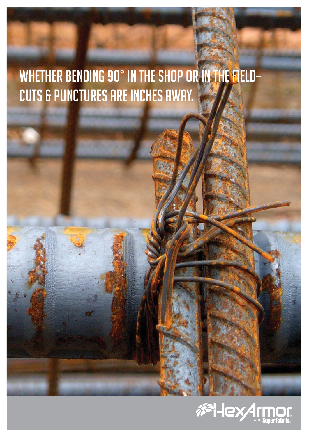# Whether bending 90° in the shop or in the field– cuts & punctures are inches away.